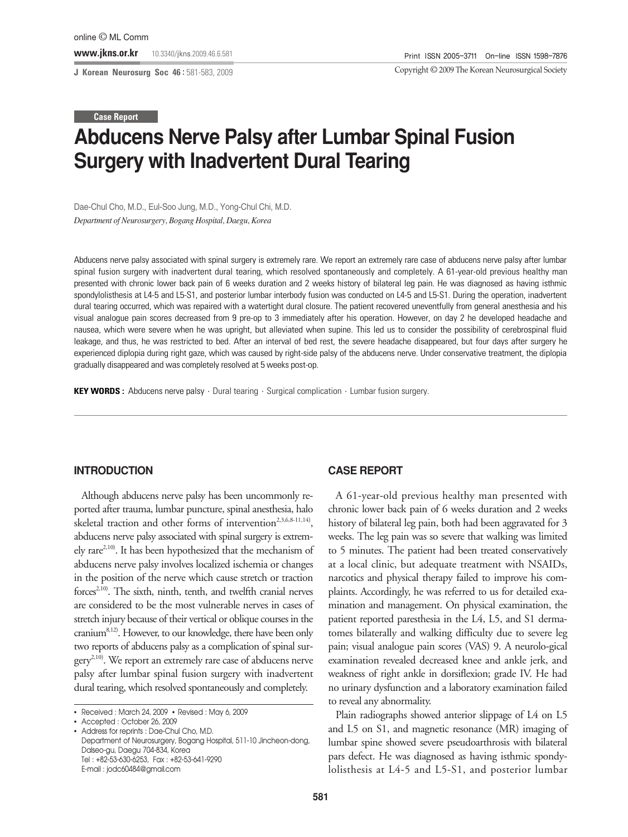**J Korean Neurosurg Soc 46 :** 581-583, 2009

Copyright ©2009 The Korean Neurosurgical Society

#### **Case Report**

# **Abducens Nerve Palsy after Lumbar Spinal Fusion Surgery with Inadvertent Dural Tearing**

Dae-Chul Cho, M.D., Eul-Soo Jung, M.D., Yong-Chul Chi, M.D. *Department of Neurosurgery, Bogang Hospital, Daegu, Korea*

Abducens nerve palsy associated with spinal surgery is extremely rare. We report an extremely rare case of abducens nerve palsy after lumbar spinal fusion surgery with inadvertent dural tearing, which resolved spontaneously and completely. A 61-year-old previous healthy man presented with chronic lower back pain of 6 weeks duration and 2 weeks history of bilateral leg pain. He was diagnosed as having isthmic spondylolisthesis at L4-5 and L5-S1, and posterior lumbar interbody fusion was conducted on L4-5 and L5-S1. During the operation, inadvertent dural tearing occurred, which was repaired with a watertight dural closure. The patient recovered uneventfully from general anesthesia and his visual analogue pain scores decreased from 9 pre-op to 3 immediately after his operation. However, on day 2 he developed headache and nausea, which were severe when he was upright, but alleviated when supine. This led us to consider the possibility of cerebrospinal fluid leakage, and thus, he was restricted to bed. After an interval of bed rest, the severe headache disappeared, but four days after surgery he experienced diplopia during right gaze, which was caused by right-side palsy of the abducens nerve. Under conservative treatment, the diplopia gradually disappeared and was completely resolved at 5 weeks post-op.

**KEY WORDS :** Abducens nerve palsy · Dural tearing · Surgical complication · Lumbar fusion surgery.

## **INTRODUCTION**

Although abducens nerve palsy has been uncommonly reported after trauma, lumbar puncture, spinal anesthesia, halo skeletal traction and other forms of intervention<sup>2,3,6,8-11,14</sup>), abducens nerve palsy associated with spinal surgery is extremely rare<sup>2,10)</sup>. It has been hypothesized that the mechanism of abducens nerve palsy involves localized ischemia or changes in the position of the nerve which cause stretch or traction forces<sup> $2,10$ </sup>. The sixth, ninth, tenth, and twelfth cranial nerves are considered to be the most vulnerable nerves in cases of stretch injury because of their vertical or oblique courses in the cranium8,12). However, to our knowledge, there have been only two reports of abducens palsy as a complication of spinal sur $gery^{2,10)}$ . We report an extremely rare case of abducens nerve palsy after lumbar spinal fusion surgery with inadvertent dural tearing, which resolved spontaneously and completely.

### **CASE REPORT**

A 61-year-old previous healthy man presented with chronic lower back pain of 6 weeks duration and 2 weeks history of bilateral leg pain, both had been aggravated for 3 weeks. The leg pain was so severe that walking was limited to 5 minutes. The patient had been treated conservatively at a local clinic, but adequate treatment with NSAIDs, narcotics and physical therapy failed to improve his complaints. Accordingly, he was referred to us for detailed examination and management. On physical examination, the patient reported paresthesia in the L4, L5, and S1 dermatomes bilaterally and walking difficulty due to severe leg pain; visual analogue pain scores (VAS) 9. A neurolo-gical examination revealed decreased knee and ankle jerk, and weakness of right ankle in dorsiflexion; grade IV. He had no urinary dysfunction and a laboratory examination failed to reveal any abnormality.

Plain radiographs showed anterior slippage of L4 on L5 and L5 on S1, and magnetic resonance (MR) imaging of lumbar spine showed severe pseudoarthrosis with bilateral pars defect. He was diagnosed as having isthmic spondylolisthesis at L4-5 and L5-S1, and posterior lumbar

<sup>•</sup> Received : March 24, 2009 • Revised : May 6, 2009

<sup>•</sup> Accepted : October 26, 2009

<sup>•</sup> Address for reprints : Dae-Chul Cho, M.D. Department of Neurosurgery, Bogang Hospital, 511-10 Jincheon-dong, Dalseo-gu, Daegu 704-834, Korea Tel : +82-53-630-6253, Fax : +82-53-641-9290 E-mail : jodc60484@gmail.com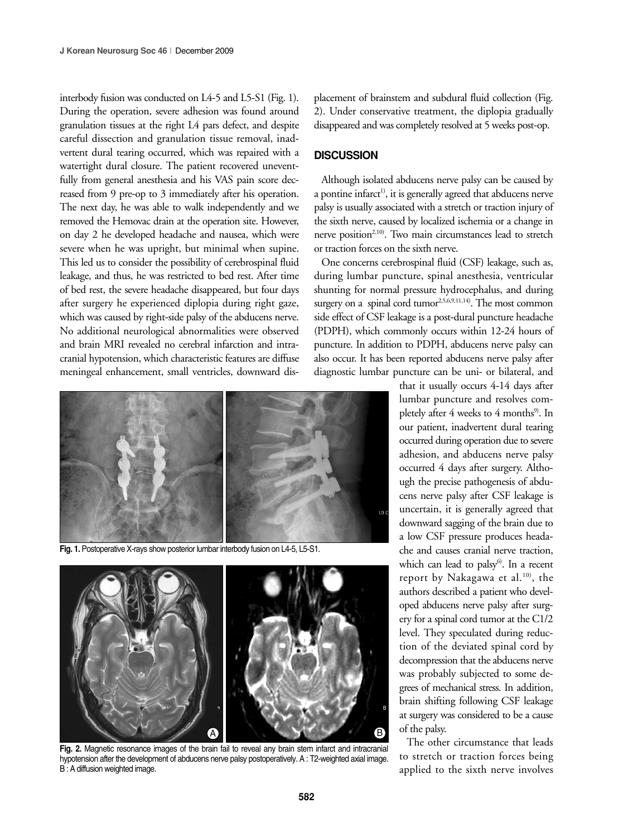interbody fusion was conducted on L4-5 and L5-S1 (Fig. 1). During the operation, severe adhesion was found around granulation tissues at the right L4 pars defect, and despite careful dissection and granulation tissue removal, inadvertent dural tearing occurred, which was repaired with a watertight dural closure. The patient recovered uneventfully from general anesthesia and his VAS pain score decreased from 9 pre-op to 3 immediately after his operation. The next day, he was able to walk independently and we removed the Hemovac drain at the operation site. However, on day 2 he developed headache and nausea, which were severe when he was upright, but minimal when supine. This led us to consider the possibility of cerebrospinal fluid leakage, and thus, he was restricted to bed rest. After time of bed rest, the severe headache disappeared, but four days after surgery he experienced diplopia during right gaze, which was caused by right-side palsy of the abducens nerve. No additional neurological abnormalities were observed and brain MRI revealed no cerebral infarction and intracranial hypotension, which characteristic features are diffuse meningeal enhancement, small ventricles, downward dis-



**Fig. 1.** Postoperative X-rays show posterior lumbar interbody fusion on L4-5, L5-S1.



Fig. 2. Magnetic resonance images of the brain fail to reveal any brain stem infarct and intracranial hypotension after the development of abducens nerve palsy postoperatively. A : T2-weighted axial image. B : A diffusion weighted image.

placement of brainstem and subdural fluid collection (Fig. 2). Under conservative treatment, the diplopia gradually disappeared and was completely resolved at 5 weeks post-op.

### **DISCUSSION**

Although isolated abducens nerve palsy can be caused by a pontine infarct<sup>1</sup>, it is generally agreed that abducens nerve palsy is usually associated with a stretch or traction injury of the sixth nerve, caused by localized ischemia or a change in nerve position<sup>2,10)</sup>. Two main circumstances lead to stretch or traction forces on the sixth nerve.

One concerns cerebrospinal fluid (CSF) leakage, such as, during lumbar puncture, spinal anesthesia, ventricular shunting for normal pressure hydrocephalus, and during surgery on a spinal cord tumor<sup>2,5,6,9,11,14)</sup>. The most common side effect of CSF leakage is a post-dural puncture headache (PDPH), which commonly occurs within 12-24 hours of puncture. In addition to PDPH, abducens nerve palsy can also occur. It has been reported abducens nerve palsy after diagnostic lumbar puncture can be uni- or bilateral, and

> that it usually occurs 4-14 days after lumbar puncture and resolves completely after  $4$  weeks to  $4$  months<sup>9)</sup>. In our patient, inadvertent dural tearing occurred during operation due to severe adhesion, and abducens nerve palsy occurred 4 days after surgery. Although the precise pathogenesis of abducens nerve palsy after CSF leakage is uncertain, it is generally agreed that downward sagging of the brain due to a low CSF pressure produces headache and causes cranial nerve traction, which can lead to palsy $6$ . In a recent report by Nakagawa et al.<sup>10)</sup>, the authors described a patient who developed abducens nerve palsy after surgery for a spinal cord tumor at the C1/2 level. They speculated during reduction of the deviated spinal cord by decompression that the abducens nerve was probably subjected to some degrees of mechanical stress. In addition, brain shifting following CSF leakage at surgery was considered to be a cause of the palsy.

> The other circumstance that leads to stretch or traction forces being applied to the sixth nerve involves